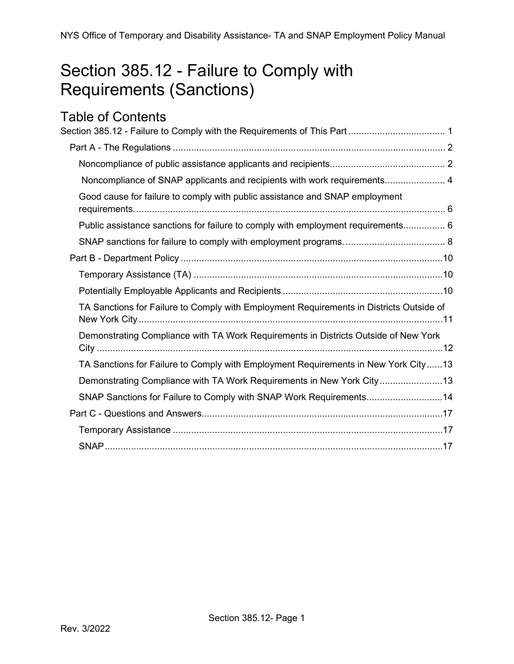# <span id="page-0-0"></span>Section 385.12 - Failure to Comply with Requirements (Sanctions)

# Table of Contents<br>Section 385.12 - Failure to

| Noncompliance of SNAP applicants and recipients with work requirements 4                |
|-----------------------------------------------------------------------------------------|
| Good cause for failure to comply with public assistance and SNAP employment             |
| Public assistance sanctions for failure to comply with employment requirements 6        |
|                                                                                         |
|                                                                                         |
|                                                                                         |
|                                                                                         |
| TA Sanctions for Failure to Comply with Employment Requirements in Districts Outside of |
| Demonstrating Compliance with TA Work Requirements in Districts Outside of New York     |
| TA Sanctions for Failure to Comply with Employment Requirements in New York City13      |
| Demonstrating Compliance with TA Work Requirements in New York City13                   |
| SNAP Sanctions for Failure to Comply with SNAP Work Requirements14                      |
|                                                                                         |
|                                                                                         |
|                                                                                         |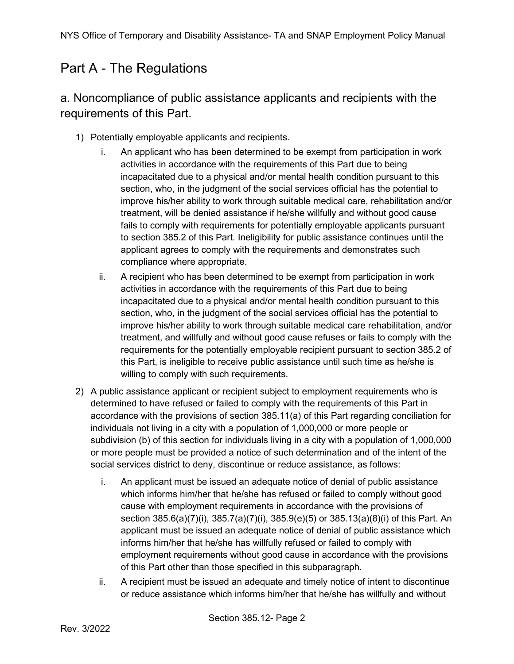# <span id="page-1-0"></span>Part A - The Regulations

<span id="page-1-1"></span>a. Noncompliance of public assistance applicants and recipients with the requirements of this Part.

- 1) Potentially employable applicants and recipients.
	- i. An applicant who has been determined to be exempt from participation in work activities in accordance with the requirements of this Part due to being incapacitated due to a physical and/or mental health condition pursuant to this section, who, in the judgment of the social services official has the potential to improve his/her ability to work through suitable medical care, rehabilitation and/or treatment, will be denied assistance if he/she willfully and without good cause fails to comply with requirements for potentially employable applicants pursuant to section 385.2 of this Part. Ineligibility for public assistance continues until the applicant agrees to comply with the requirements and demonstrates such compliance where appropriate.
	- ii. A recipient who has been determined to be exempt from participation in work activities in accordance with the requirements of this Part due to being incapacitated due to a physical and/or mental health condition pursuant to this section, who, in the judgment of the social services official has the potential to improve his/her ability to work through suitable medical care rehabilitation, and/or treatment, and willfully and without good cause refuses or fails to comply with the requirements for the potentially employable recipient pursuant to section 385.2 of this Part, is ineligible to receive public assistance until such time as he/she is willing to comply with such requirements.
- 2) A public assistance applicant or recipient subject to employment requirements who is determined to have refused or failed to comply with the requirements of this Part in accordance with the provisions of section 385.11(a) of this Part regarding conciliation for individuals not living in a city with a population of 1,000,000 or more people or subdivision (b) of this section for individuals living in a city with a population of 1,000,000 or more people must be provided a notice of such determination and of the intent of the social services district to deny, discontinue or reduce assistance, as follows:
	- i. An applicant must be issued an adequate notice of denial of public assistance which informs him/her that he/she has refused or failed to comply without good cause with employment requirements in accordance with the provisions of section 385.6(a)(7)(i), 385.7(a)(7)(i), 385.9(e)(5) or 385.13(a)(8)(i) of this Part. An applicant must be issued an adequate notice of denial of public assistance which informs him/her that he/she has willfully refused or failed to comply with employment requirements without good cause in accordance with the provisions of this Part other than those specified in this subparagraph.
	- ii. A recipient must be issued an adequate and timely notice of intent to discontinue or reduce assistance which informs him/her that he/she has willfully and without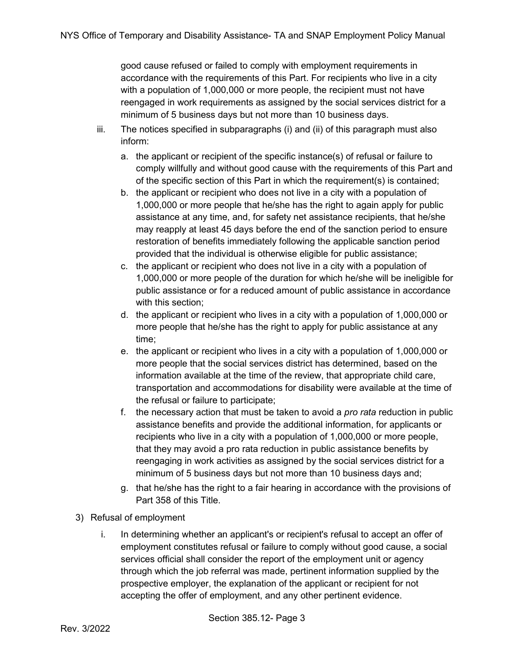good cause refused or failed to comply with employment requirements in accordance with the requirements of this Part. For recipients who live in a city with a population of 1,000,000 or more people, the recipient must not have reengaged in work requirements as assigned by the social services district for a minimum of 5 business days but not more than 10 business days.

- iii. The notices specified in subparagraphs (i) and (ii) of this paragraph must also inform:
	- a. the applicant or recipient of the specific instance(s) of refusal or failure to comply willfully and without good cause with the requirements of this Part and of the specific section of this Part in which the requirement(s) is contained;
	- b. the applicant or recipient who does not live in a city with a population of 1,000,000 or more people that he/she has the right to again apply for public assistance at any time, and, for safety net assistance recipients, that he/she may reapply at least 45 days before the end of the sanction period to ensure restoration of benefits immediately following the applicable sanction period provided that the individual is otherwise eligible for public assistance;
	- c. the applicant or recipient who does not live in a city with a population of 1,000,000 or more people of the duration for which he/she will be ineligible for public assistance or for a reduced amount of public assistance in accordance with this section;
	- d. the applicant or recipient who lives in a city with a population of 1,000,000 or more people that he/she has the right to apply for public assistance at any time;
	- e. the applicant or recipient who lives in a city with a population of 1,000,000 or more people that the social services district has determined, based on the information available at the time of the review, that appropriate child care, transportation and accommodations for disability were available at the time of the refusal or failure to participate;
	- f. the necessary action that must be taken to avoid a *pro rata* reduction in public assistance benefits and provide the additional information, for applicants or recipients who live in a city with a population of 1,000,000 or more people, that they may avoid a pro rata reduction in public assistance benefits by reengaging in work activities as assigned by the social services district for a minimum of 5 business days but not more than 10 business days and;
	- g. that he/she has the right to a fair hearing in accordance with the provisions of Part 358 of this Title.
- 3) Refusal of employment
	- i. In determining whether an applicant's or recipient's refusal to accept an offer of employment constitutes refusal or failure to comply without good cause, a social services official shall consider the report of the employment unit or agency through which the job referral was made, pertinent information supplied by the prospective employer, the explanation of the applicant or recipient for not accepting the offer of employment, and any other pertinent evidence.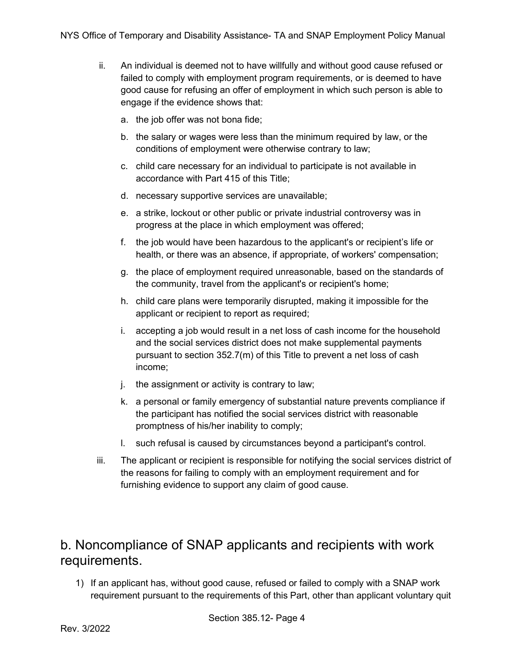- ii. An individual is deemed not to have willfully and without good cause refused or failed to comply with employment program requirements, or is deemed to have good cause for refusing an offer of employment in which such person is able to engage if the evidence shows that:
	- a. the job offer was not bona fide;
	- b. the salary or wages were less than the minimum required by law, or the conditions of employment were otherwise contrary to law;
	- c. child care necessary for an individual to participate is not available in accordance with Part 415 of this Title;
	- d. necessary supportive services are unavailable;
	- e. a strike, lockout or other public or private industrial controversy was in progress at the place in which employment was offered;
	- f. the job would have been hazardous to the applicant's or recipient's life or health, or there was an absence, if appropriate, of workers' compensation;
	- g. the place of employment required unreasonable, based on the standards of the community, travel from the applicant's or recipient's home;
	- h. child care plans were temporarily disrupted, making it impossible for the applicant or recipient to report as required;
	- i. accepting a job would result in a net loss of cash income for the household and the social services district does not make supplemental payments pursuant to section 352.7(m) of this Title to prevent a net loss of cash income;
	- j. the assignment or activity is contrary to law;
	- k. a personal or family emergency of substantial nature prevents compliance if the participant has notified the social services district with reasonable promptness of his/her inability to comply;
	- l. such refusal is caused by circumstances beyond a participant's control.
- iii. The applicant or recipient is responsible for notifying the social services district of the reasons for failing to comply with an employment requirement and for furnishing evidence to support any claim of good cause.

### <span id="page-3-0"></span>b. Noncompliance of SNAP applicants and recipients with work requirements.

1) If an applicant has, without good cause, refused or failed to comply with a SNAP work requirement pursuant to the requirements of this Part, other than applicant voluntary quit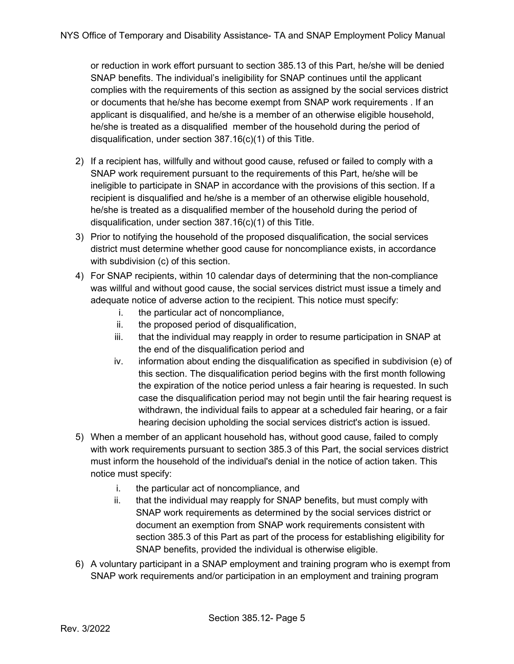or reduction in work effort pursuant to section 385.13 of this Part, he/she will be denied SNAP benefits. The individual's ineligibility for SNAP continues until the applicant complies with the requirements of this section as assigned by the social services district or documents that he/she has become exempt from SNAP work requirements . If an applicant is disqualified, and he/she is a member of an otherwise eligible household, he/she is treated as a disqualified member of the household during the period of disqualification, under section 387.16(c)(1) of this Title.

- 2) If a recipient has, willfully and without good cause, refused or failed to comply with a SNAP work requirement pursuant to the requirements of this Part, he/she will be ineligible to participate in SNAP in accordance with the provisions of this section. If a recipient is disqualified and he/she is a member of an otherwise eligible household, he/she is treated as a disqualified member of the household during the period of disqualification, under section 387.16(c)(1) of this Title.
- 3) Prior to notifying the household of the proposed disqualification, the social services district must determine whether good cause for noncompliance exists, in accordance with subdivision (c) of this section.
- 4) For SNAP recipients, within 10 calendar days of determining that the non-compliance was willful and without good cause, the social services district must issue a timely and adequate notice of adverse action to the recipient. This notice must specify:
	- i. the particular act of noncompliance,
	- ii. the proposed period of disqualification,
	- iii. that the individual may reapply in order to resume participation in SNAP at the end of the disqualification period and
	- iv. information about ending the disqualification as specified in subdivision (e) of this section. The disqualification period begins with the first month following the expiration of the notice period unless a fair hearing is requested. In such case the disqualification period may not begin until the fair hearing request is withdrawn, the individual fails to appear at a scheduled fair hearing, or a fair hearing decision upholding the social services district's action is issued.
- 5) When a member of an applicant household has, without good cause, failed to comply with work requirements pursuant to section 385.3 of this Part, the social services district must inform the household of the individual's denial in the notice of action taken. This notice must specify:
	- i. the particular act of noncompliance, and
	- ii. that the individual may reapply for SNAP benefits, but must comply with SNAP work requirements as determined by the social services district or document an exemption from SNAP work requirements consistent with section 385.3 of this Part as part of the process for establishing eligibility for SNAP benefits, provided the individual is otherwise eligible.
- 6) A voluntary participant in a SNAP employment and training program who is exempt from SNAP work requirements and/or participation in an employment and training program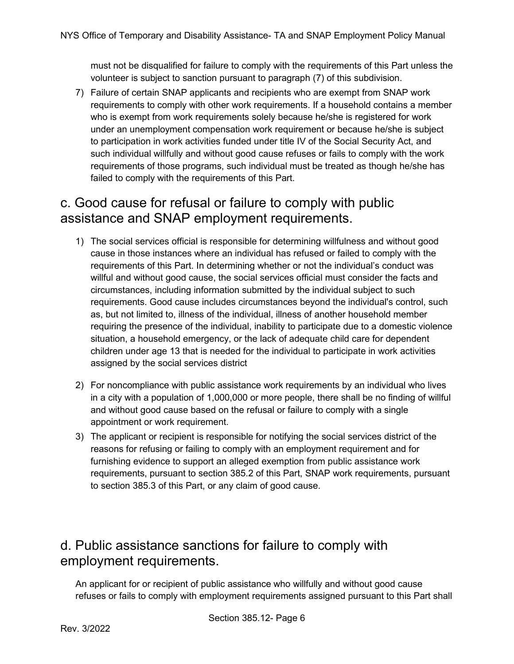must not be disqualified for failure to comply with the requirements of this Part unless the volunteer is subject to sanction pursuant to paragraph (7) of this subdivision.

7) Failure of certain SNAP applicants and recipients who are exempt from SNAP work requirements to comply with other work requirements. If a household contains a member who is exempt from work requirements solely because he/she is registered for work under an unemployment compensation work requirement or because he/she is subject to participation in work activities funded under title IV of the Social Security Act, and such individual willfully and without good cause refuses or fails to comply with the work requirements of those programs, such individual must be treated as though he/she has failed to comply with the requirements of this Part.

# <span id="page-5-0"></span>c. Good cause for refusal or failure to comply with public assistance and SNAP employment requirements.

- 1) The social services official is responsible for determining willfulness and without good cause in those instances where an individual has refused or failed to comply with the requirements of this Part. In determining whether or not the individual's conduct was willful and without good cause, the social services official must consider the facts and circumstances, including information submitted by the individual subject to such requirements. Good cause includes circumstances beyond the individual's control, such as, but not limited to, illness of the individual, illness of another household member requiring the presence of the individual, inability to participate due to a domestic violence situation, a household emergency, or the lack of adequate child care for dependent children under age 13 that is needed for the individual to participate in work activities assigned by the social services district
- 2) For noncompliance with public assistance work requirements by an individual who lives in a city with a population of 1,000,000 or more people, there shall be no finding of willful and without good cause based on the refusal or failure to comply with a single appointment or work requirement.
- 3) The applicant or recipient is responsible for notifying the social services district of the reasons for refusing or failing to comply with an employment requirement and for furnishing evidence to support an alleged exemption from public assistance work requirements, pursuant to section 385.2 of this Part, SNAP work requirements, pursuant to section 385.3 of this Part, or any claim of good cause.

# <span id="page-5-1"></span>d. Public assistance sanctions for failure to comply with employment requirements.

An applicant for or recipient of public assistance who willfully and without good cause refuses or fails to comply with employment requirements assigned pursuant to this Part shall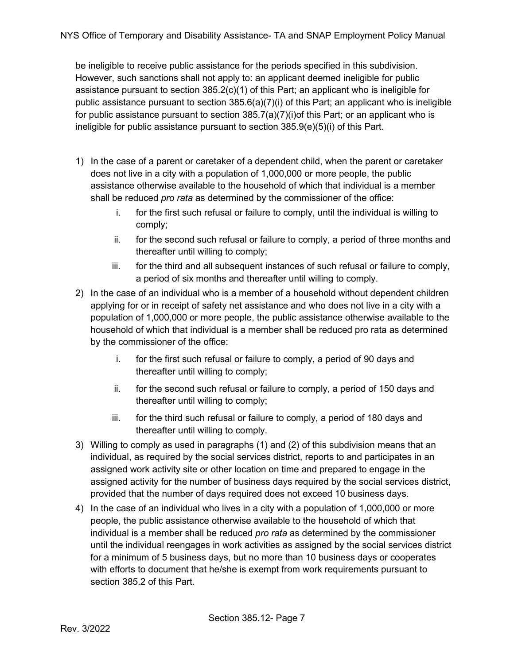be ineligible to receive public assistance for the periods specified in this subdivision. However, such sanctions shall not apply to: an applicant deemed ineligible for public assistance pursuant to section 385.2(c)(1) of this Part; an applicant who is ineligible for public assistance pursuant to section 385.6(a)(7)(i) of this Part; an applicant who is ineligible for public assistance pursuant to section 385.7(a)(7)(i)of this Part; or an applicant who is ineligible for public assistance pursuant to section 385.9(e)(5)(i) of this Part.

- 1) In the case of a parent or caretaker of a dependent child, when the parent or caretaker does not live in a city with a population of 1,000,000 or more people, the public assistance otherwise available to the household of which that individual is a member shall be reduced *pro rata* as determined by the commissioner of the office:
	- i. for the first such refusal or failure to comply, until the individual is willing to comply;
	- ii. for the second such refusal or failure to comply, a period of three months and thereafter until willing to comply;
	- iii. for the third and all subsequent instances of such refusal or failure to comply, a period of six months and thereafter until willing to comply.
- 2) In the case of an individual who is a member of a household without dependent children applying for or in receipt of safety net assistance and who does not live in a city with a population of 1,000,000 or more people, the public assistance otherwise available to the household of which that individual is a member shall be reduced pro rata as determined by the commissioner of the office:
	- i. for the first such refusal or failure to comply, a period of 90 days and thereafter until willing to comply;
	- ii. for the second such refusal or failure to comply, a period of 150 days and thereafter until willing to comply;
	- iii. for the third such refusal or failure to comply, a period of 180 days and thereafter until willing to comply.
- 3) Willing to comply as used in paragraphs (1) and (2) of this subdivision means that an individual, as required by the social services district, reports to and participates in an assigned work activity site or other location on time and prepared to engage in the assigned activity for the number of business days required by the social services district, provided that the number of days required does not exceed 10 business days.
- 4) In the case of an individual who lives in a city with a population of 1,000,000 or more people, the public assistance otherwise available to the household of which that individual is a member shall be reduced *pro rata* as determined by the commissioner until the individual reengages in work activities as assigned by the social services district for a minimum of 5 business days, but no more than 10 business days or cooperates with efforts to document that he/she is exempt from work requirements pursuant to section 385.2 of this Part.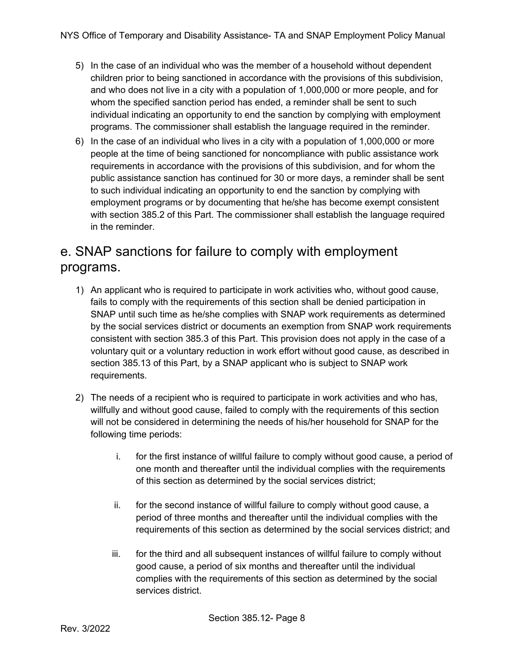- 5) In the case of an individual who was the member of a household without dependent children prior to being sanctioned in accordance with the provisions of this subdivision, and who does not live in a city with a population of 1,000,000 or more people, and for whom the specified sanction period has ended, a reminder shall be sent to such individual indicating an opportunity to end the sanction by complying with employment programs. The commissioner shall establish the language required in the reminder.
- 6) In the case of an individual who lives in a city with a population of 1,000,000 or more people at the time of being sanctioned for noncompliance with public assistance work requirements in accordance with the provisions of this subdivision, and for whom the public assistance sanction has continued for 30 or more days, a reminder shall be sent to such individual indicating an opportunity to end the sanction by complying with employment programs or by documenting that he/she has become exempt consistent with section 385.2 of this Part. The commissioner shall establish the language required in the reminder.

# <span id="page-7-0"></span>e. SNAP sanctions for failure to comply with employment programs.

- 1) An applicant who is required to participate in work activities who, without good cause, fails to comply with the requirements of this section shall be denied participation in SNAP until such time as he/she complies with SNAP work requirements as determined by the social services district or documents an exemption from SNAP work requirements consistent with section 385.3 of this Part. This provision does not apply in the case of a voluntary quit or a voluntary reduction in work effort without good cause, as described in section 385.13 of this Part, by a SNAP applicant who is subject to SNAP work requirements.
- 2) The needs of a recipient who is required to participate in work activities and who has, willfully and without good cause, failed to comply with the requirements of this section will not be considered in determining the needs of his/her household for SNAP for the following time periods:
	- i. for the first instance of willful failure to comply without good cause, a period of one month and thereafter until the individual complies with the requirements of this section as determined by the social services district;
	- ii. for the second instance of willful failure to comply without good cause, a period of three months and thereafter until the individual complies with the requirements of this section as determined by the social services district; and
	- iii. for the third and all subsequent instances of willful failure to comply without good cause, a period of six months and thereafter until the individual complies with the requirements of this section as determined by the social services district.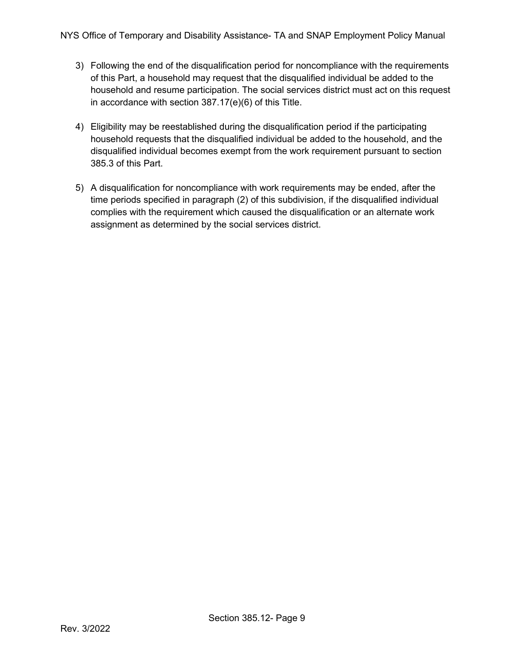- 3) Following the end of the disqualification period for noncompliance with the requirements of this Part, a household may request that the disqualified individual be added to the household and resume participation. The social services district must act on this request in accordance with section 387.17(e)(6) of this Title.
- 4) Eligibility may be reestablished during the disqualification period if the participating household requests that the disqualified individual be added to the household, and the disqualified individual becomes exempt from the work requirement pursuant to section 385.3 of this Part.
- 5) A disqualification for noncompliance with work requirements may be ended, after the time periods specified in paragraph (2) of this subdivision, if the disqualified individual complies with the requirement which caused the disqualification or an alternate work assignment as determined by the social services district.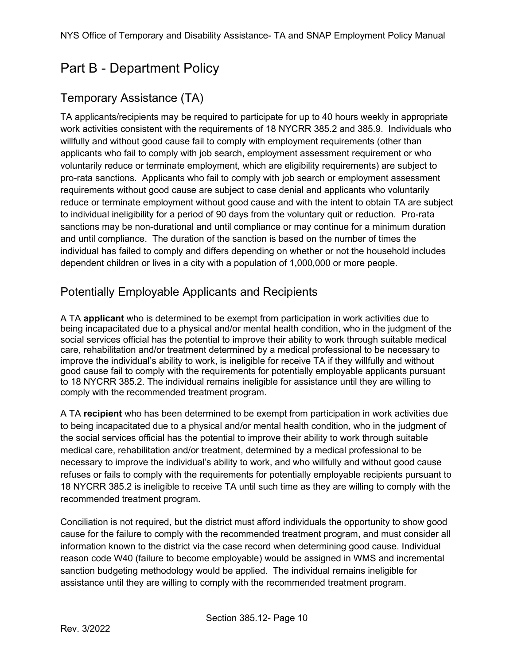# <span id="page-9-0"></span>Part B - Department Policy

# <span id="page-9-1"></span>Temporary Assistance (TA)

TA applicants/recipients may be required to participate for up to 40 hours weekly in appropriate work activities consistent with the requirements of 18 NYCRR 385.2 and 385.9. Individuals who willfully and without good cause fail to comply with employment requirements (other than applicants who fail to comply with job search, employment assessment requirement or who voluntarily reduce or terminate employment, which are eligibility requirements) are subject to pro-rata sanctions. Applicants who fail to comply with job search or employment assessment requirements without good cause are subject to case denial and applicants who voluntarily reduce or terminate employment without good cause and with the intent to obtain TA are subject to individual ineligibility for a period of 90 days from the voluntary quit or reduction. Pro-rata sanctions may be non-durational and until compliance or may continue for a minimum duration and until compliance. The duration of the sanction is based on the number of times the individual has failed to comply and differs depending on whether or not the household includes dependent children or lives in a city with a population of 1,000,000 or more people.

#### <span id="page-9-2"></span>Potentially Employable Applicants and Recipients

A TA **applicant** who is determined to be exempt from participation in work activities due to being incapacitated due to a physical and/or mental health condition, who in the judgment of the social services official has the potential to improve their ability to work through suitable medical care, rehabilitation and/or treatment determined by a medical professional to be necessary to improve the individual's ability to work, is ineligible for receive TA if they willfully and without good cause fail to comply with the requirements for potentially employable applicants pursuant to 18 NYCRR 385.2. The individual remains ineligible for assistance until they are willing to comply with the recommended treatment program.

A TA **recipient** who has been determined to be exempt from participation in work activities due to being incapacitated due to a physical and/or mental health condition, who in the judgment of the social services official has the potential to improve their ability to work through suitable medical care, rehabilitation and/or treatment, determined by a medical professional to be necessary to improve the individual's ability to work, and who willfully and without good cause refuses or fails to comply with the requirements for potentially employable recipients pursuant to 18 NYCRR 385.2 is ineligible to receive TA until such time as they are willing to comply with the recommended treatment program.

Conciliation is not required, but the district must afford individuals the opportunity to show good cause for the failure to comply with the recommended treatment program, and must consider all information known to the district via the case record when determining good cause. Individual reason code W40 (failure to become employable) would be assigned in WMS and incremental sanction budgeting methodology would be applied. The individual remains ineligible for assistance until they are willing to comply with the recommended treatment program.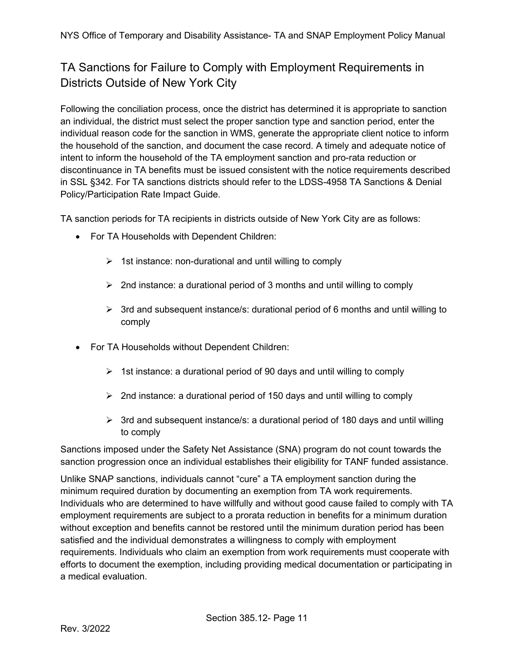# <span id="page-10-0"></span>TA Sanctions for Failure to Comply with Employment Requirements in Districts Outside of New York City

Following the conciliation process, once the district has determined it is appropriate to sanction an individual, the district must select the proper sanction type and sanction period, enter the individual reason code for the sanction in WMS, generate the appropriate client notice to inform the household of the sanction, and document the case record. A timely and adequate notice of intent to inform the household of the TA employment sanction and pro-rata reduction or discontinuance in TA benefits must be issued consistent with the notice requirements described in SSL §342. For TA sanctions districts should refer to the LDSS-4958 TA Sanctions & Denial Policy/Participation Rate Impact Guide.

TA sanction periods for TA recipients in districts outside of New York City are as follows:

- For TA Households with Dependent Children:
	- $\geq$  1st instance: non-durational and until willing to comply
	- $\geq$  2nd instance: a durational period of 3 months and until willing to comply
	- $\triangleright$  3rd and subsequent instance/s: durational period of 6 months and until willing to comply
- For TA Households without Dependent Children:
	- $\geq$  1st instance: a durational period of 90 days and until willing to comply
	- $\geq$  2nd instance: a durational period of 150 days and until willing to comply
	- $\geq$  3rd and subsequent instance/s: a durational period of 180 days and until willing to comply

Sanctions imposed under the Safety Net Assistance (SNA) program do not count towards the sanction progression once an individual establishes their eligibility for TANF funded assistance.

Unlike SNAP sanctions, individuals cannot "cure" a TA employment sanction during the minimum required duration by documenting an exemption from TA work requirements. Individuals who are determined to have willfully and without good cause failed to comply with TA employment requirements are subject to a prorata reduction in benefits for a minimum duration without exception and benefits cannot be restored until the minimum duration period has been satisfied and the individual demonstrates a willingness to comply with employment requirements. Individuals who claim an exemption from work requirements must cooperate with efforts to document the exemption, including providing medical documentation or participating in a medical evaluation.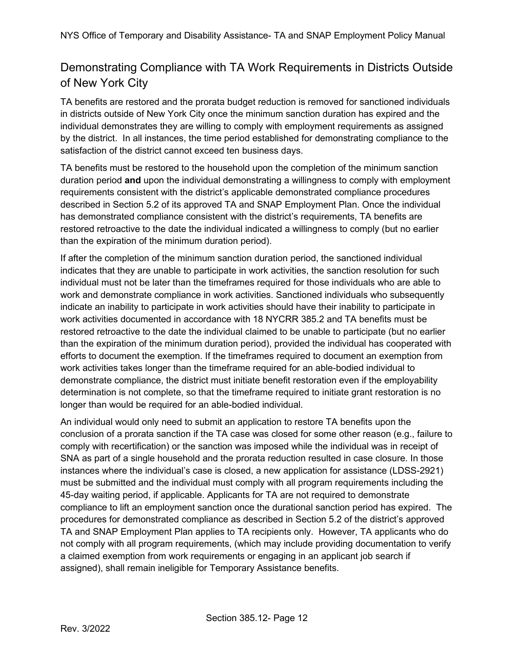# <span id="page-11-0"></span>Demonstrating Compliance with TA Work Requirements in Districts Outside of New York City

TA benefits are restored and the prorata budget reduction is removed for sanctioned individuals in districts outside of New York City once the minimum sanction duration has expired and the individual demonstrates they are willing to comply with employment requirements as assigned by the district. In all instances, the time period established for demonstrating compliance to the satisfaction of the district cannot exceed ten business days.

TA benefits must be restored to the household upon the completion of the minimum sanction duration period **and** upon the individual demonstrating a willingness to comply with employment requirements consistent with the district's applicable demonstrated compliance procedures described in Section 5.2 of its approved TA and SNAP Employment Plan. Once the individual has demonstrated compliance consistent with the district's requirements, TA benefits are restored retroactive to the date the individual indicated a willingness to comply (but no earlier than the expiration of the minimum duration period).

If after the completion of the minimum sanction duration period, the sanctioned individual indicates that they are unable to participate in work activities, the sanction resolution for such individual must not be later than the timeframes required for those individuals who are able to work and demonstrate compliance in work activities. Sanctioned individuals who subsequently indicate an inability to participate in work activities should have their inability to participate in work activities documented in accordance with 18 NYCRR 385.2 and TA benefits must be restored retroactive to the date the individual claimed to be unable to participate (but no earlier than the expiration of the minimum duration period), provided the individual has cooperated with efforts to document the exemption. If the timeframes required to document an exemption from work activities takes longer than the timeframe required for an able-bodied individual to demonstrate compliance, the district must initiate benefit restoration even if the employability determination is not complete, so that the timeframe required to initiate grant restoration is no longer than would be required for an able-bodied individual.

An individual would only need to submit an application to restore TA benefits upon the conclusion of a prorata sanction if the TA case was closed for some other reason (e.g., failure to comply with recertification) or the sanction was imposed while the individual was in receipt of SNA as part of a single household and the prorata reduction resulted in case closure. In those instances where the individual's case is closed, a new application for assistance (LDSS-2921) must be submitted and the individual must comply with all program requirements including the 45-day waiting period, if applicable. Applicants for TA are not required to demonstrate compliance to lift an employment sanction once the durational sanction period has expired. The procedures for demonstrated compliance as described in Section 5.2 of the district's approved TA and SNAP Employment Plan applies to TA recipients only. However, TA applicants who do not comply with all program requirements, (which may include providing documentation to verify a claimed exemption from work requirements or engaging in an applicant job search if assigned), shall remain ineligible for Temporary Assistance benefits.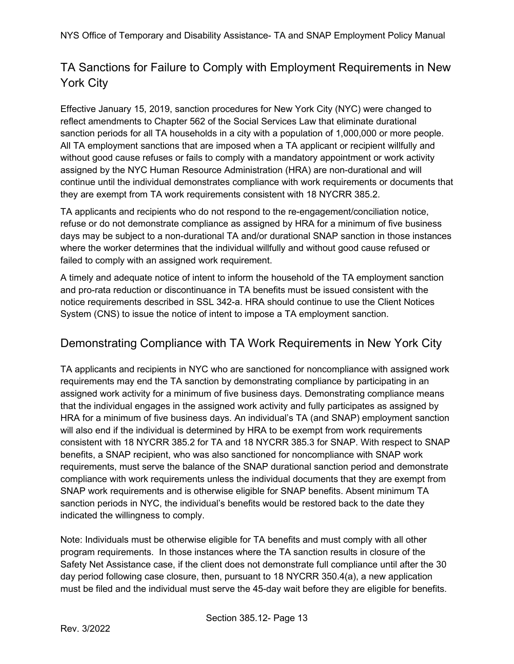# <span id="page-12-0"></span>TA Sanctions for Failure to Comply with Employment Requirements in New York City

Effective January 15, 2019, sanction procedures for New York City (NYC) were changed to reflect amendments to Chapter 562 of the Social Services Law that eliminate durational sanction periods for all TA households in a city with a population of 1,000,000 or more people. All TA employment sanctions that are imposed when a TA applicant or recipient willfully and without good cause refuses or fails to comply with a mandatory appointment or work activity assigned by the NYC Human Resource Administration (HRA) are non-durational and will continue until the individual demonstrates compliance with work requirements or documents that they are exempt from TA work requirements consistent with 18 NYCRR 385.2.

TA applicants and recipients who do not respond to the re-engagement/conciliation notice, refuse or do not demonstrate compliance as assigned by HRA for a minimum of five business days may be subject to a non-durational TA and/or durational SNAP sanction in those instances where the worker determines that the individual willfully and without good cause refused or failed to comply with an assigned work requirement.

A timely and adequate notice of intent to inform the household of the TA employment sanction and pro-rata reduction or discontinuance in TA benefits must be issued consistent with the notice requirements described in SSL 342-a. HRA should continue to use the Client Notices System (CNS) to issue the notice of intent to impose a TA employment sanction.

#### <span id="page-12-1"></span>Demonstrating Compliance with TA Work Requirements in New York City

TA applicants and recipients in NYC who are sanctioned for noncompliance with assigned work requirements may end the TA sanction by demonstrating compliance by participating in an assigned work activity for a minimum of five business days. Demonstrating compliance means that the individual engages in the assigned work activity and fully participates as assigned by HRA for a minimum of five business days. An individual's TA (and SNAP) employment sanction will also end if the individual is determined by HRA to be exempt from work requirements consistent with 18 NYCRR 385.2 for TA and 18 NYCRR 385.3 for SNAP. With respect to SNAP benefits, a SNAP recipient, who was also sanctioned for noncompliance with SNAP work requirements, must serve the balance of the SNAP durational sanction period and demonstrate compliance with work requirements unless the individual documents that they are exempt from SNAP work requirements and is otherwise eligible for SNAP benefits. Absent minimum TA sanction periods in NYC, the individual's benefits would be restored back to the date they indicated the willingness to comply.

Note: Individuals must be otherwise eligible for TA benefits and must comply with all other program requirements. In those instances where the TA sanction results in closure of the Safety Net Assistance case, if the client does not demonstrate full compliance until after the 30 day period following case closure, then, pursuant to 18 NYCRR 350.4(a), a new application must be filed and the individual must serve the 45-day wait before they are eligible for benefits.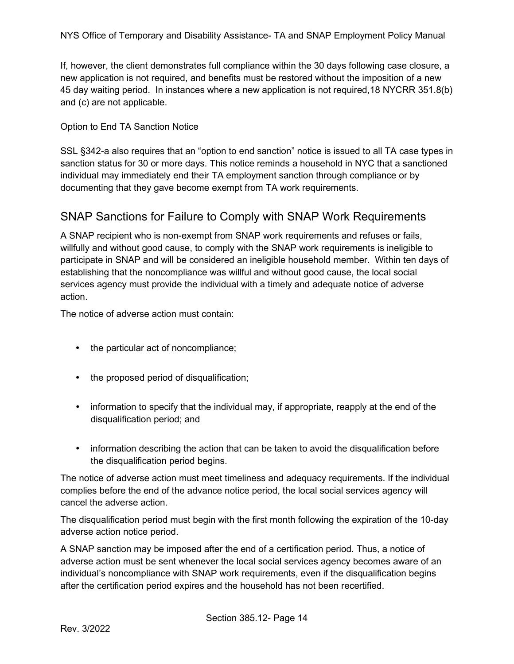If, however, the client demonstrates full compliance within the 30 days following case closure, a new application is not required, and benefits must be restored without the imposition of a new 45 day waiting period. In instances where a new application is not required,18 NYCRR 351.8(b) and (c) are not applicable.

Option to End TA Sanction Notice

SSL §342-a also requires that an "option to end sanction" notice is issued to all TA case types in sanction status for 30 or more days. This notice reminds a household in NYC that a sanctioned individual may immediately end their TA employment sanction through compliance or by documenting that they gave become exempt from TA work requirements.

#### <span id="page-13-0"></span>SNAP Sanctions for Failure to Comply with SNAP Work Requirements

A SNAP recipient who is non-exempt from SNAP work requirements and refuses or fails, willfully and without good cause, to comply with the SNAP work requirements is ineligible to participate in SNAP and will be considered an ineligible household member. Within ten days of establishing that the noncompliance was willful and without good cause, the local social services agency must provide the individual with a timely and adequate notice of adverse action.

The notice of adverse action must contain:

- the particular act of noncompliance;
- the proposed period of disqualification;
- information to specify that the individual may, if appropriate, reapply at the end of the disqualification period; and
- information describing the action that can be taken to avoid the disqualification before the disqualification period begins.

The notice of adverse action must meet timeliness and adequacy requirements. If the individual complies before the end of the advance notice period, the local social services agency will cancel the adverse action.

The disqualification period must begin with the first month following the expiration of the 10-day adverse action notice period.

A SNAP sanction may be imposed after the end of a certification period. Thus, a notice of adverse action must be sent whenever the local social services agency becomes aware of an individual's noncompliance with SNAP work requirements, even if the disqualification begins after the certification period expires and the household has not been recertified.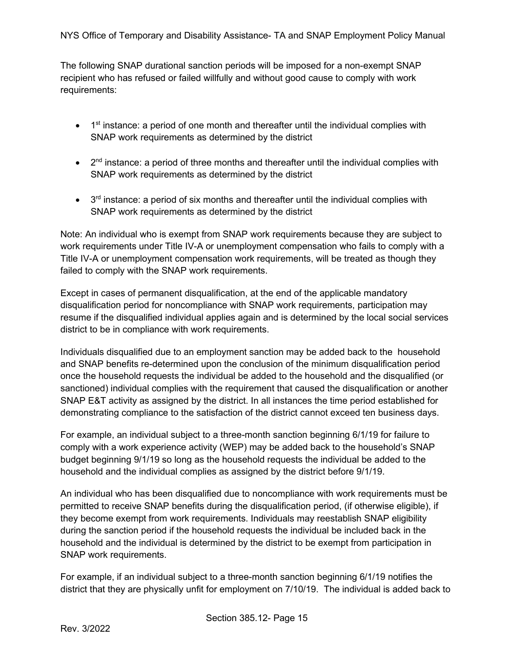The following SNAP durational sanction periods will be imposed for a non-exempt SNAP recipient who has refused or failed willfully and without good cause to comply with work requirements:

- $\bullet$  1<sup>st</sup> instance: a period of one month and thereafter until the individual complies with SNAP work requirements as determined by the district
- $\bullet$   $2^{nd}$  instance: a period of three months and thereafter until the individual complies with SNAP work requirements as determined by the district
- $\bullet$  3<sup>rd</sup> instance: a period of six months and thereafter until the individual complies with SNAP work requirements as determined by the district

Note: An individual who is exempt from SNAP work requirements because they are subject to work requirements under Title IV-A or unemployment compensation who fails to comply with a Title IV-A or unemployment compensation work requirements, will be treated as though they failed to comply with the SNAP work requirements.

Except in cases of permanent disqualification, at the end of the applicable mandatory disqualification period for noncompliance with SNAP work requirements, participation may resume if the disqualified individual applies again and is determined by the local social services district to be in compliance with work requirements.

Individuals disqualified due to an employment sanction may be added back to the household and SNAP benefits re-determined upon the conclusion of the minimum disqualification period once the household requests the individual be added to the household and the disqualified (or sanctioned) individual complies with the requirement that caused the disqualification or another SNAP E&T activity as assigned by the district. In all instances the time period established for demonstrating compliance to the satisfaction of the district cannot exceed ten business days.

For example, an individual subject to a three-month sanction beginning 6/1/19 for failure to comply with a work experience activity (WEP) may be added back to the household's SNAP budget beginning 9/1/19 so long as the household requests the individual be added to the household and the individual complies as assigned by the district before 9/1/19.

An individual who has been disqualified due to noncompliance with work requirements must be permitted to receive SNAP benefits during the disqualification period, (if otherwise eligible), if they become exempt from work requirements. Individuals may reestablish SNAP eligibility during the sanction period if the household requests the individual be included back in the household and the individual is determined by the district to be exempt from participation in SNAP work requirements.

For example, if an individual subject to a three-month sanction beginning 6/1/19 notifies the district that they are physically unfit for employment on 7/10/19. The individual is added back to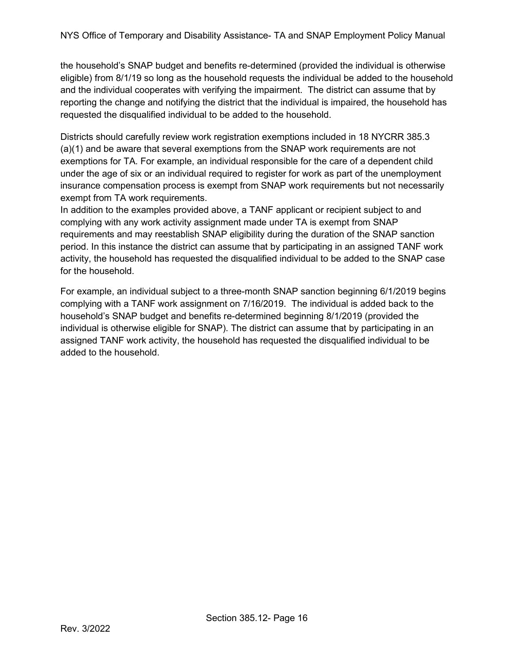the household's SNAP budget and benefits re-determined (provided the individual is otherwise eligible) from 8/1/19 so long as the household requests the individual be added to the household and the individual cooperates with verifying the impairment. The district can assume that by reporting the change and notifying the district that the individual is impaired, the household has requested the disqualified individual to be added to the household.

Districts should carefully review work registration exemptions included in 18 NYCRR 385.3 (a)(1) and be aware that several exemptions from the SNAP work requirements are not exemptions for TA. For example, an individual responsible for the care of a dependent child under the age of six or an individual required to register for work as part of the unemployment insurance compensation process is exempt from SNAP work requirements but not necessarily exempt from TA work requirements.

In addition to the examples provided above, a TANF applicant or recipient subject to and complying with any work activity assignment made under TA is exempt from SNAP requirements and may reestablish SNAP eligibility during the duration of the SNAP sanction period. In this instance the district can assume that by participating in an assigned TANF work activity, the household has requested the disqualified individual to be added to the SNAP case for the household.

For example, an individual subject to a three-month SNAP sanction beginning 6/1/2019 begins complying with a TANF work assignment on 7/16/2019. The individual is added back to the household's SNAP budget and benefits re-determined beginning 8/1/2019 (provided the individual is otherwise eligible for SNAP). The district can assume that by participating in an assigned TANF work activity, the household has requested the disqualified individual to be added to the household.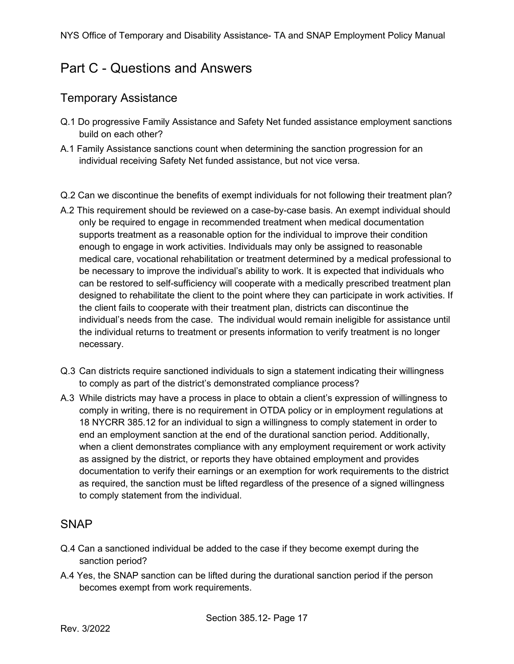# <span id="page-16-0"></span>Part C - Questions and Answers

#### <span id="page-16-1"></span>Temporary Assistance

- Q.1 Do progressive Family Assistance and Safety Net funded assistance employment sanctions build on each other?
- A.1 Family Assistance sanctions count when determining the sanction progression for an individual receiving Safety Net funded assistance, but not vice versa.
- Q.2 Can we discontinue the benefits of exempt individuals for not following their treatment plan?
- A.2 This requirement should be reviewed on a case-by-case basis. An exempt individual should only be required to engage in recommended treatment when medical documentation supports treatment as a reasonable option for the individual to improve their condition enough to engage in work activities. Individuals may only be assigned to reasonable medical care, vocational rehabilitation or treatment determined by a medical professional to be necessary to improve the individual's ability to work. It is expected that individuals who can be restored to self-sufficiency will cooperate with a medically prescribed treatment plan designed to rehabilitate the client to the point where they can participate in work activities. If the client fails to cooperate with their treatment plan, districts can discontinue the individual's needs from the case. The individual would remain ineligible for assistance until the individual returns to treatment or presents information to verify treatment is no longer necessary.
- Q.3 Can districts require sanctioned individuals to sign a statement indicating their willingness to comply as part of the district's demonstrated compliance process?
- A.3 While districts may have a process in place to obtain a client's expression of willingness to comply in writing, there is no requirement in OTDA policy or in employment regulations at 18 NYCRR 385.12 for an individual to sign a willingness to comply statement in order to end an employment sanction at the end of the durational sanction period. Additionally, when a client demonstrates compliance with any employment requirement or work activity as assigned by the district, or reports they have obtained employment and provides documentation to verify their earnings or an exemption for work requirements to the district as required, the sanction must be lifted regardless of the presence of a signed willingness to comply statement from the individual.

#### <span id="page-16-2"></span>SNAP

- Q.4 Can a sanctioned individual be added to the case if they become exempt during the sanction period?
- A.4 Yes, the SNAP sanction can be lifted during the durational sanction period if the person becomes exempt from work requirements.